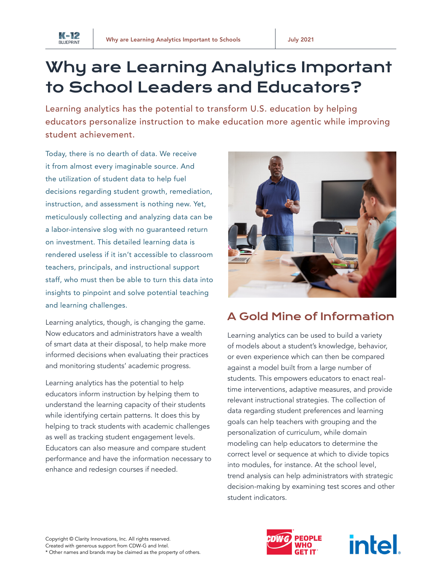

# Why are Learning Analytics Important to School Leaders and Educators?

Learning analytics has the potential to transform U.S. education by helping educators personalize instruction to make education more agentic while improving student achievement.

Today, there is no dearth of data. We receive it from almost every imaginable source. And the utilization of student data to help fuel decisions regarding student growth, remediation, instruction, and assessment is nothing new. Yet, meticulously collecting and analyzing data can be a labor-intensive slog with no guaranteed return on investment. This detailed learning data is rendered useless if it isn't accessible to classroom teachers, principals, and instructional support staff, who must then be able to turn this data into insights to pinpoint and solve potential teaching and learning challenges.

Learning analytics, though, is changing the game. Now educators and administrators have a wealth of smart data at their disposal, to help make more informed decisions when evaluating their practices and monitoring students' academic progress.

Learning analytics has the potential to help educators inform instruction by helping them to understand the learning capacity of their students while identifying certain patterns. It does this by helping to track students with academic challenges as well as tracking student engagement levels. Educators can also measure and compare student performance and have the information necessary to enhance and redesign courses if needed.



## A Gold Mine of Information

Learning analytics can be used to build a variety of models about a student's knowledge, behavior, or even experience which can then be compared against a model built from a large number of students. This empowers educators to enact realtime interventions, adaptive measures, and provide relevant instructional strategies. The collection of data regarding student preferences and learning goals can help teachers with grouping and the personalization of curriculum, while domain modeling can help educators to determine the correct level or sequence at which to divide topics into modules, for instance. At the school level, trend analysis can help administrators with strategic decision-making by examining test scores and other student indicators.



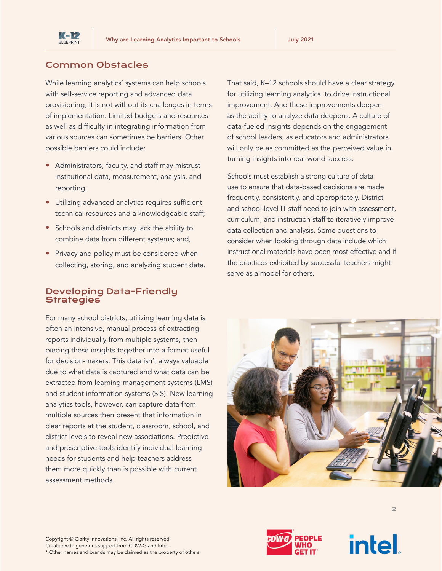

#### Common Obstacles

While learning analytics' systems can help schools with self-service reporting and advanced data provisioning, it is not without its challenges in terms of implementation. Limited budgets and resources as well as difficulty in integrating information from various sources can sometimes be barriers. Other possible barriers could include:

- Administrators, faculty, and staff may mistrust institutional data, measurement, analysis, and reporting;
- Utilizing advanced analytics requires sufficient technical resources and a knowledgeable staff;
- Schools and districts may lack the ability to combine data from different systems; and,
- Privacy and policy must be considered when collecting, storing, and analyzing student data.

#### Developing Data-Friendly **Strategies**

For many school districts, utilizing learning data is often an intensive, manual process of extracting reports individually from multiple systems, then piecing these insights together into a format useful for decision-makers. This data isn't always valuable due to what data is captured and what data can be extracted from learning management systems (LMS) and student information systems (SIS). New learning analytics tools, however, can capture data from multiple sources then present that information in clear reports at the student, classroom, school, and district levels to reveal new associations. Predictive and prescriptive tools identify individual learning needs for students and help teachers address them more quickly than is possible with current assessment methods.

Copyright © Clarity Innovations, Inc. All rights reserved. Created with generous support from CDW-G and Intel.

That said, K–12 schools should have a clear strategy for utilizing learning analytics to drive instructional improvement. And these improvements deepen as the ability to analyze data deepens. A culture of data-fueled insights depends on the engagement of school leaders, as educators and administrators will only be as committed as the perceived value in turning insights into real-world success.

Schools must establish a strong culture of data use to ensure that data-based decisions are made frequently, consistently, and appropriately. District and school-level IT staff need to join with assessment, curriculum, and instruction staff to iteratively improve data collection and analysis. Some questions to consider when looking through data include which instructional materials have been most effective and if the practices exhibited by successful teachers might serve as a model for others.









2